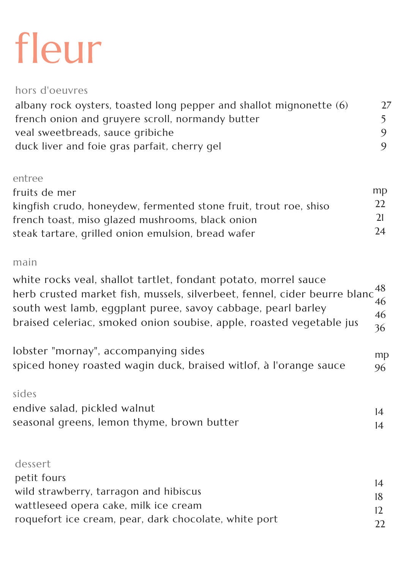## fleur

hors d'oeuvres

albany rock oysters, toasted long pepper and shallot mignonette (6) french onion and gruyere scroll, normandy butter veal sweetbreads, sauce gribiche duck liver and foie gras parfait, cherry gel

27

5

9

9

main

| south west lamb, eggplant puree, savoy cabbage, pearl barley<br>braised celeriac, smoked onion soubise, apple, roasted vegetable jus                               | 46<br>46<br>36 |
|--------------------------------------------------------------------------------------------------------------------------------------------------------------------|----------------|
| lobster "mornay", accompanying sides<br>spiced honey roasted wagin duck, braised witlof, à l'orange sauce                                                          | mp<br>96       |
| sides<br>endive salad, pickled walnut<br>seasonal greens, lemon thyme, brown butter                                                                                | 14<br>14       |
| dessert<br>petit fours<br>wild strawberry, tarragon and hibiscus<br>wattleseed opera cake, milk ice cream<br>roquefort ice cream, pear, dark chocolate, white port | 14<br>18<br>12 |

white rocks veal, shallot tartlet, fondant potato, morrel sauce herb crusted market fish, mussels, silverbeet, fennel, cider beurre blanc 48

## entree

mp 22 21 24 fruits de mer kingfish crudo, honeydew, fermented stone fruit, trout roe, shiso french toast, miso glazed mushrooms, black onion steak tartare, grilled onion emulsion, bread wafer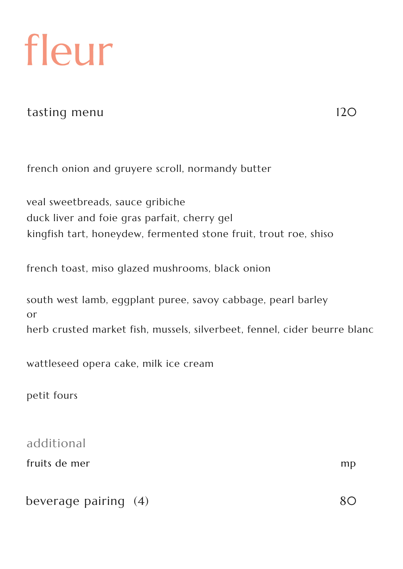fleur

tasting menu 120

additional

fruits de mer mp

 $beverage pairing (4)$  80

french onion and gruyere scroll, normandy butter

veal sweetbreads, sauce gribiche duck liver and foie gras parfait, cherry gel kingfish tart, honeydew, fermented stone fruit, trout roe, shiso

french toast, miso glazed mushrooms, black onion

herb crusted market fish, mussels, silverbeet, fennel, cider beurre blanc

south west lamb, eggplant puree, savoy cabbage, pearl barley or

wattleseed opera cake, milk ice cream

petit fours